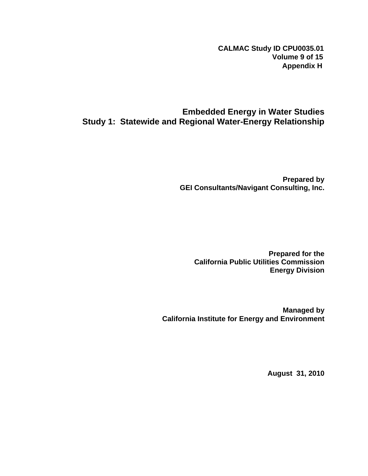**CALMAC Study ID CPU0035.01 Volume 9 of 15 Appendix H**

## **Embedded Energy in Water Studies Study 1: Statewide and Regional Water-Energy Relationship**

**Prepared by GEI Consultants/Navigant Consulting, Inc.** 

**Prepared for the California Public Utilities Commission Energy Division** 

**Managed by California Institute for Energy and Environment** 

**August 31, 2010**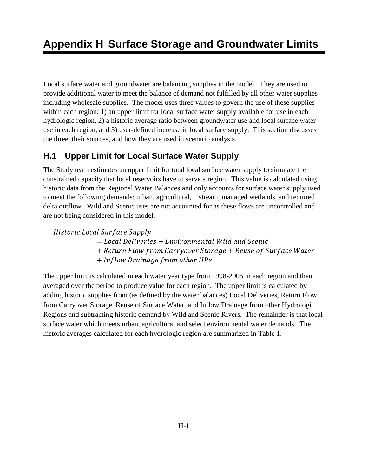Local surface water and groundwater are balancing supplies in the model. They are used to provide additional water to meet the balance of demand not fulfilled by all other water supplies including wholesale supplies. The model uses three values to govern the use of these supplies within each region: 1) an upper limit for local surface water supply available for use in each hydrologic region, 2) a historic average ratio between groundwater use and local surface water use in each region, and 3) user-defined increase in local surface supply. This section discusses the three, their sources, and how they are used in scenario analysis.

# **H.1 Upper Limit for Local Surface Water Supply**

The Study team estimates an upper limit for total local surface water supply to simulate the constrained capacity that local reservoirs have to serve a region. This value is calculated using historic data from the Regional Water Balances and only accounts for surface water supply used to meet the following demands: urban, agricultural, instream, managed wetlands, and required delta outflow. Wild and Scenic uses are not accounted for as these flows are uncontrolled and are not being considered in this model.

Historic Local Surface Supply

.

- $=$  Local Deliveries  $-$  Environmental Wild and Scenic
- + Return Flow from Carryover Storage + Reuse of Surface Water
- + Inflow Drainage from other HRs

The upper limit is calculated in each water year type from 1998-2005 in each region and then averaged over the period to produce value for each region. The upper limit is calculated by adding historic supplies from (as defined by the water balances) Local Deliveries, Return Flow from Carryover Storage, Reuse of Surface Water, and Inflow Drainage from other Hydrologic Regions and subtracting historic demand by Wild and Scenic Rivers. The remainder is that local surface water which meets urban, agricultural and select environmental water demands. The historic averages calculated for each hydrologic region are summarized in Table 1.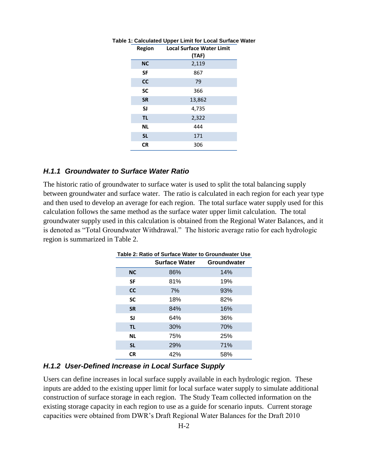| Region    | <b>Local Surface Water Limit</b><br>(TAF) |
|-----------|-------------------------------------------|
| <b>NC</b> | 2,119                                     |
| SF        | 867                                       |
| <b>CC</b> | 79                                        |
| <b>SC</b> | 366                                       |
| <b>SR</b> | 13,862                                    |
| SJ        | 4,735                                     |
| <b>TL</b> | 2,322                                     |
| <b>NL</b> | 444                                       |
| <b>SL</b> | 171                                       |
| <b>CR</b> | 306                                       |

#### **Table 1: Calculated Upper Limit for Local Surface Water**

#### *H.1.1 Groundwater to Surface Water Ratio*

<span id="page-2-0"></span>The historic ratio of groundwater to surface water is used to split the total balancing supply between groundwater and surface water. The ratio is calculated in each region for each year type and then used to develop an average for each region. The total surface water supply used for this calculation follows the same method as the surface water upper limit calculation. The total groundwater supply used in this calculation is obtained from the Regional Water Balances, and it is denoted as "Total Groundwater Withdrawal." The historic average ratio for each hydrologic region is summarized in [Table 2.](#page-2-0)

| Table 2: Ratio of Surface Water to Groundwater Use |                           |     |  |  |  |
|----------------------------------------------------|---------------------------|-----|--|--|--|
|                                                    | Surface Water Groundwater |     |  |  |  |
| <b>NC</b>                                          | 86%                       | 14% |  |  |  |
| <b>SF</b>                                          | 81%                       | 19% |  |  |  |
| <b>CC</b>                                          | 7%                        | 93% |  |  |  |
| <b>SC</b>                                          | 18%                       | 82% |  |  |  |
| <b>SR</b>                                          | 84%                       | 16% |  |  |  |
| <b>SJ</b>                                          | 64%                       | 36% |  |  |  |
| <b>TL</b>                                          | 30%                       | 70% |  |  |  |
| <b>NL</b>                                          | 75%                       | 25% |  |  |  |
| <b>SL</b>                                          | 29%                       | 71% |  |  |  |
| <b>CR</b>                                          | 42%                       | 58% |  |  |  |
|                                                    |                           |     |  |  |  |

| Table 2: Ratio of Surface Water to Groundwater Use |             |
|----------------------------------------------------|-------------|
| <b>Surface Water</b>                               | Groundwater |

### *H.1.2 User-Defined Increase in Local Surface Supply*

Users can define increases in local surface supply available in each hydrologic region. These inputs are added to the existing upper limit for local surface water supply to simulate additional construction of surface storage in each region. The Study Team collected information on the existing storage capacity in each region to use as a guide for scenario inputs. Current storage capacities were obtained from DWR's Draft Regional Water Balances for the Draft 2010